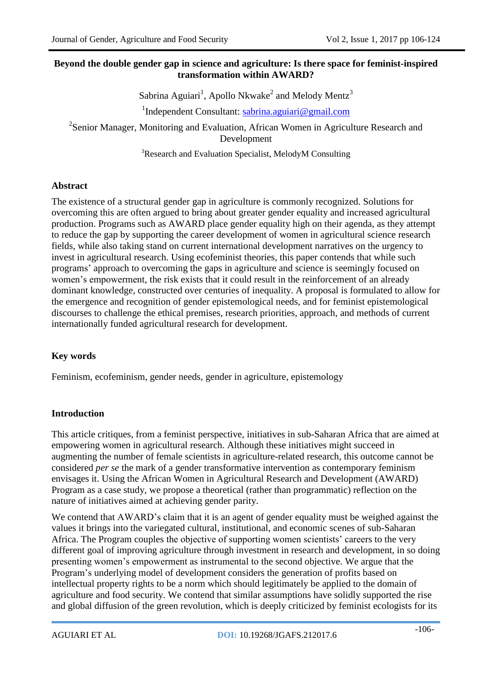# **Beyond the double gender gap in science and agriculture: Is there space for feminist-inspired transformation within AWARD?**

Sabrina Aguiari<sup>1</sup>, Apollo Nkwake<sup>2</sup> and Melody Mentz<sup>3</sup>

<sup>1</sup>Independent Consultant: [sabrina.aguiari@gmail.com](mailto:sabrina.aguiari@gmail.com)

<sup>2</sup>Senior Manager, Monitoring and Evaluation, African Women in Agriculture Research and Development

<sup>3</sup>Research and Evaluation Specialist, MelodyM Consulting

# **Abstract**

The existence of a structural gender gap in agriculture is commonly recognized. Solutions for overcoming this are often argued to bring about greater gender equality and increased agricultural production. Programs such as AWARD place gender equality high on their agenda, as they attempt to reduce the gap by supporting the career development of women in agricultural science research fields, while also taking stand on current international development narratives on the urgency to invest in agricultural research. Using ecofeminist theories, this paper contends that while such programs' approach to overcoming the gaps in agriculture and science is seemingly focused on women's empowerment, the risk exists that it could result in the reinforcement of an already dominant knowledge, constructed over centuries of inequality. A proposal is formulated to allow for the emergence and recognition of gender epistemological needs, and for feminist epistemological discourses to challenge the ethical premises, research priorities, approach, and methods of current internationally funded agricultural research for development.

### **Key words**

Feminism, ecofeminism, gender needs, gender in agriculture, epistemology

### **Introduction**

This article critiques, from a feminist perspective, initiatives in sub-Saharan Africa that are aimed at empowering women in agricultural research. Although these initiatives might succeed in augmenting the number of female scientists in agriculture-related research, this outcome cannot be considered *per se* the mark of a gender transformative intervention as contemporary feminism envisages it. Using the African Women in Agricultural Research and Development (AWARD) Program as a case study, we propose a theoretical (rather than programmatic) reflection on the nature of initiatives aimed at achieving gender parity.

We contend that AWARD's claim that it is an agent of gender equality must be weighed against the values it brings into the variegated cultural, institutional, and economic scenes of sub-Saharan Africa. The Program couples the objective of supporting women scientists' careers to the very different goal of improving agriculture through investment in research and development, in so doing presenting women's empowerment as instrumental to the second objective. We argue that the Program's underlying model of development considers the generation of profits based on intellectual property rights to be a norm which should legitimately be applied to the domain of agriculture and food security. We contend that similar assumptions have solidly supported the rise and global diffusion of the green revolution, which is deeply criticized by feminist ecologists for its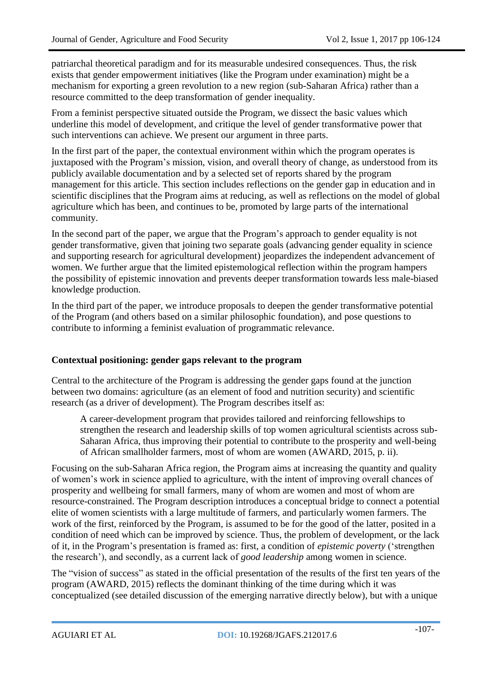patriarchal theoretical paradigm and for its measurable undesired consequences. Thus, the risk exists that gender empowerment initiatives (like the Program under examination) might be a mechanism for exporting a green revolution to a new region (sub-Saharan Africa) rather than a resource committed to the deep transformation of gender inequality.

From a feminist perspective situated outside the Program, we dissect the basic values which underline this model of development, and critique the level of gender transformative power that such interventions can achieve. We present our argument in three parts.

In the first part of the paper, the contextual environment within which the program operates is juxtaposed with the Program's mission, vision, and overall theory of change, as understood from its publicly available documentation and by a selected set of reports shared by the program management for this article. This section includes reflections on the gender gap in education and in scientific disciplines that the Program aims at reducing, as well as reflections on the model of global agriculture which has been, and continues to be, promoted by large parts of the international community.

In the second part of the paper, we argue that the Program's approach to gender equality is not gender transformative, given that joining two separate goals (advancing gender equality in science and supporting research for agricultural development) jeopardizes the independent advancement of women. We further argue that the limited epistemological reflection within the program hampers the possibility of epistemic innovation and prevents deeper transformation towards less male-biased knowledge production.

In the third part of the paper, we introduce proposals to deepen the gender transformative potential of the Program (and others based on a similar philosophic foundation), and pose questions to contribute to informing a feminist evaluation of programmatic relevance.

#### **Contextual positioning: gender gaps relevant to the program**

Central to the architecture of the Program is addressing the gender gaps found at the junction between two domains: agriculture (as an element of food and nutrition security) and scientific research (as a driver of development). The Program describes itself as:

A career-development program that provides tailored and reinforcing fellowships to strengthen the research and leadership skills of top women agricultural scientists across sub-Saharan Africa, thus improving their potential to contribute to the prosperity and well-being of African smallholder farmers, most of whom are women (AWARD, 2015, p. ii).

Focusing on the sub-Saharan Africa region, the Program aims at increasing the quantity and quality of women's work in science applied to agriculture, with the intent of improving overall chances of prosperity and wellbeing for small farmers, many of whom are women and most of whom are resource-constrained. The Program description introduces a conceptual bridge to connect a potential elite of women scientists with a large multitude of farmers, and particularly women farmers. The work of the first, reinforced by the Program, is assumed to be for the good of the latter, posited in a condition of need which can be improved by science. Thus, the problem of development, or the lack of it, in the Program's presentation is framed as: first, a condition of *epistemic poverty* ('strengthen the research'), and secondly, as a current lack of *good leadership* among women in science.

The "vision of success" as stated in the official presentation of the results of the first ten years of the program (AWARD, 2015) reflects the dominant thinking of the time during which it was conceptualized (see detailed discussion of the emerging narrative directly below), but with a unique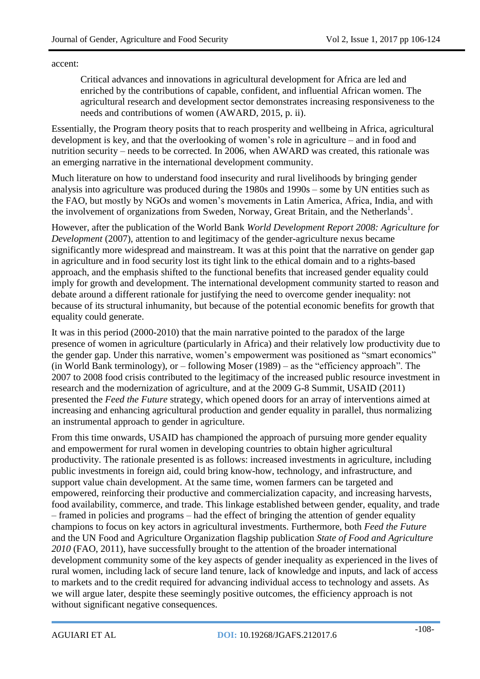accent:

Critical advances and innovations in agricultural development for Africa are led and enriched by the contributions of capable, confident, and influential African women. The agricultural research and development sector demonstrates increasing responsiveness to the needs and contributions of women (AWARD, 2015, p. ii).

Essentially, the Program theory posits that to reach prosperity and wellbeing in Africa, agricultural development is key, and that the overlooking of women's role in agriculture – and in food and nutrition security – needs to be corrected. In 2006, when AWARD was created, this rationale was an emerging narrative in the international development community.

Much literature on how to understand food insecurity and rural livelihoods by bringing gender analysis into agriculture was produced during the 1980s and 1990s – some by UN entities such as the FAO, but mostly by NGOs and women's movements in Latin America, Africa, India, and with the involvement of organizations from Sweden, Norway, Great Britain, and the Netherlands<sup>1</sup>.

However, after the publication of the World Bank *World Development Report 2008: Agriculture for Development* (2007), attention to and legitimacy of the gender-agriculture nexus became significantly more widespread and mainstream. It was at this point that the narrative on gender gap in agriculture and in food security lost its tight link to the ethical domain and to a rights-based approach, and the emphasis shifted to the functional benefits that increased gender equality could imply for growth and development. The international development community started to reason and debate around a different rationale for justifying the need to overcome gender inequality: not because of its structural inhumanity, but because of the potential economic benefits for growth that equality could generate.

It was in this period (2000-2010) that the main narrative pointed to the paradox of the large presence of women in agriculture (particularly in Africa) and their relatively low productivity due to the gender gap. Under this narrative, women's empowerment was positioned as "smart economics" (in World Bank terminology), or – following Moser (1989) – as the "efficiency approach". The 2007 to 2008 food crisis contributed to the legitimacy of the increased public resource investment in research and the modernization of agriculture, and at the 2009 G-8 Summit, USAID (2011) presented the *Feed the Future* strategy, which opened doors for an array of interventions aimed at increasing and enhancing agricultural production and gender equality in parallel, thus normalizing an instrumental approach to gender in agriculture.

From this time onwards, USAID has championed the approach of pursuing more gender equality and empowerment for rural women in developing countries to obtain higher agricultural productivity. The rationale presented is as follows: increased investments in agriculture, including public investments in foreign aid, could bring know-how, technology, and infrastructure, and support value chain development. At the same time, women farmers can be targeted and empowered, reinforcing their productive and commercialization capacity, and increasing harvests, food availability, commerce, and trade. This linkage established between gender, equality, and trade – framed in policies and programs – had the effect of bringing the attention of gender equality champions to focus on key actors in agricultural investments. Furthermore, both *Feed the Future* and the UN Food and Agriculture Organization flagship publication *State of Food and Agriculture 2010* (FAO, 2011), have successfully brought to the attention of the broader international development community some of the key aspects of gender inequality as experienced in the lives of rural women, including lack of secure land tenure, lack of knowledge and inputs, and lack of access to markets and to the credit required for advancing individual access to technology and assets. As we will argue later, despite these seemingly positive outcomes, the efficiency approach is not without significant negative consequences.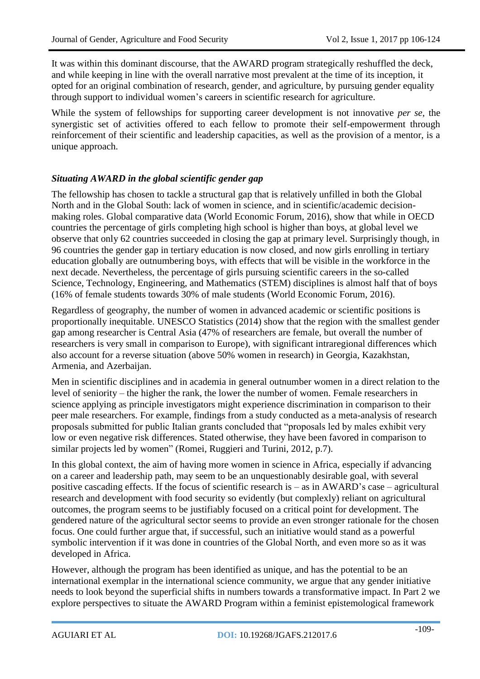It was within this dominant discourse, that the AWARD program strategically reshuffled the deck, and while keeping in line with the overall narrative most prevalent at the time of its inception, it opted for an original combination of research, gender, and agriculture, by pursuing gender equality through support to individual women's careers in scientific research for agriculture.

While the system of fellowships for supporting career development is not innovative *per se*, the synergistic set of activities offered to each fellow to promote their self-empowerment through reinforcement of their scientific and leadership capacities, as well as the provision of a mentor, is a unique approach.

### *Situating AWARD in the global scientific gender gap*

The fellowship has chosen to tackle a structural gap that is relatively unfilled in both the Global North and in the Global South: lack of women in science, and in scientific/academic decisionmaking roles. Global comparative data (World Economic Forum, 2016), show that while in OECD countries the percentage of girls completing high school is higher than boys, at global level we observe that only 62 countries succeeded in closing the gap at primary level. Surprisingly though, in 96 countries the gender gap in tertiary education is now closed, and now girls enrolling in tertiary education globally are outnumbering boys, with effects that will be visible in the workforce in the next decade. Nevertheless, the percentage of girls pursuing scientific careers in the so-called Science, Technology, Engineering, and Mathematics (STEM) disciplines is almost half that of boys (16% of female students towards 30% of male students (World Economic Forum, 2016).

Regardless of geography, the number of women in advanced academic or scientific positions is proportionally inequitable. UNESCO Statistics (2014) show that the region with the smallest gender gap among researcher is Central Asia (47% of researchers are female, but overall the number of researchers is very small in comparison to Europe), with significant intraregional differences which also account for a reverse situation (above 50% women in research) in Georgia, Kazakhstan, Armenia, and Azerbaijan.

Men in scientific disciplines and in academia in general outnumber women in a direct relation to the level of seniority – the higher the rank, the lower the number of women. Female researchers in science applying as principle investigators might experience discrimination in comparison to their peer male researchers. For example, findings from a study conducted as a meta-analysis of research proposals submitted for public Italian grants concluded that "proposals led by males exhibit very low or even negative risk differences. Stated otherwise, they have been favored in comparison to similar projects led by women" (Romei, Ruggieri and Turini, 2012, p.7).

In this global context, the aim of having more women in science in Africa, especially if advancing on a career and leadership path, may seem to be an unquestionably desirable goal, with several positive cascading effects. If the focus of scientific research is – as in AWARD's case – agricultural research and development with food security so evidently (but complexly) reliant on agricultural outcomes, the program seems to be justifiably focused on a critical point for development. The gendered nature of the agricultural sector seems to provide an even stronger rationale for the chosen focus. One could further argue that, if successful, such an initiative would stand as a powerful symbolic intervention if it was done in countries of the Global North, and even more so as it was developed in Africa.

However, although the program has been identified as unique, and has the potential to be an international exemplar in the international science community, we argue that any gender initiative needs to look beyond the superficial shifts in numbers towards a transformative impact. In Part 2 we explore perspectives to situate the AWARD Program within a feminist epistemological framework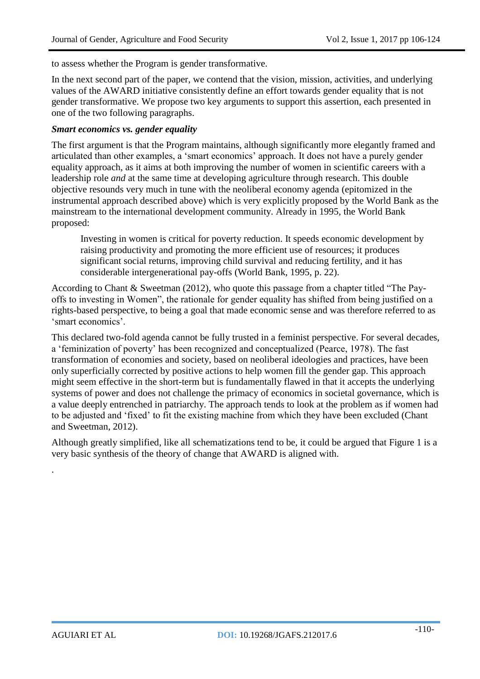to assess whether the Program is gender transformative.

In the next second part of the paper, we contend that the vision, mission, activities, and underlying values of the AWARD initiative consistently define an effort towards gender equality that is not gender transformative. We propose two key arguments to support this assertion, each presented in one of the two following paragraphs.

### *Smart economics vs. gender equality*

The first argument is that the Program maintains, although significantly more elegantly framed and articulated than other examples, a 'smart economics' approach. It does not have a purely gender equality approach, as it aims at both improving the number of women in scientific careers with a leadership role *and* at the same time at developing agriculture through research. This double objective resounds very much in tune with the neoliberal economy agenda (epitomized in the instrumental approach described above) which is very explicitly proposed by the World Bank as the mainstream to the international development community. Already in 1995, the World Bank proposed:

Investing in women is critical for poverty reduction. It speeds economic development by raising productivity and promoting the more efficient use of resources; it produces significant social returns, improving child survival and reducing fertility, and it has considerable intergenerational pay-offs (World Bank, 1995, p. 22).

According to Chant & Sweetman (2012), who quote this passage from a chapter titled "The Payoffs to investing in Women", the rationale for gender equality has shifted from being justified on a rights-based perspective, to being a goal that made economic sense and was therefore referred to as 'smart economics'.

This declared two-fold agenda cannot be fully trusted in a feminist perspective. For several decades, a 'feminization of poverty' has been recognized and conceptualized (Pearce, 1978). The fast transformation of economies and society, based on neoliberal ideologies and practices, have been only superficially corrected by positive actions to help women fill the gender gap. This approach might seem effective in the short-term but is fundamentally flawed in that it accepts the underlying systems of power and does not challenge the primacy of economics in societal governance, which is a value deeply entrenched in patriarchy. The approach tends to look at the problem as if women had to be adjusted and 'fixed' to fit the existing machine from which they have been excluded (Chant and Sweetman, 2012).

Although greatly simplified, like all schematizations tend to be, it could be argued that Figure 1 is a very basic synthesis of the theory of change that AWARD is aligned with.

.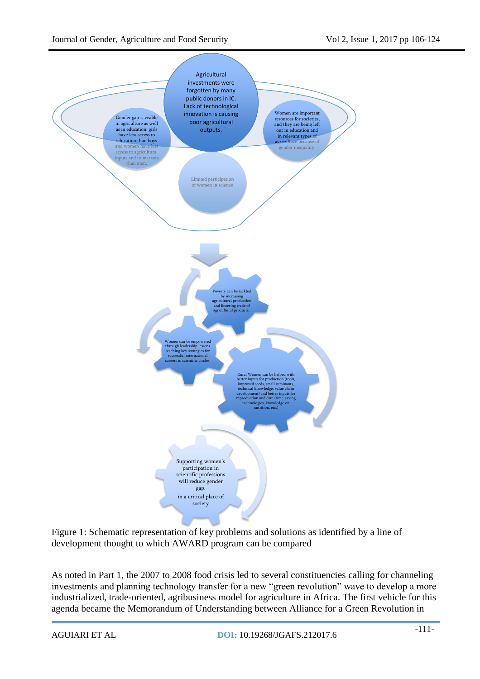

Figure 1: Schematic representation of key problems and solutions as identified by a line of development thought to which AWARD program can be compared

As noted in Part 1, the 2007 to 2008 food crisis led to several constituencies calling for channeling investments and planning technology transfer for a new "green revolution" wave to develop a more industrialized, trade-oriented, agribusiness model for agriculture in Africa. The first vehicle for this agenda became the Memorandum of Understanding between Alliance for a Green Revolution in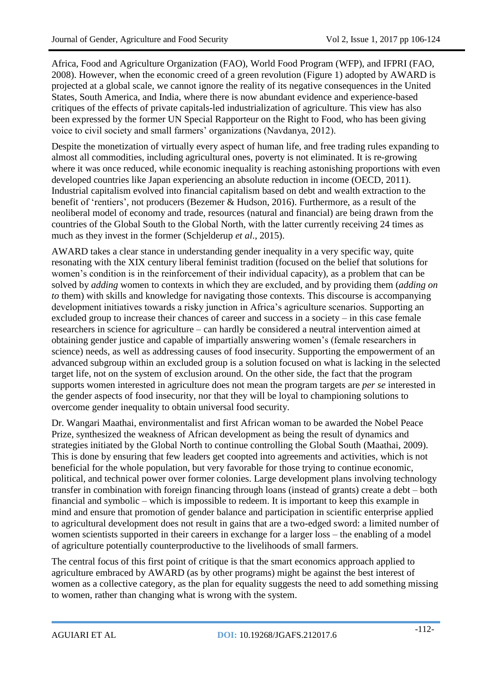Africa, Food and Agriculture Organization (FAO), World Food Program (WFP), and IFPRI (FAO, 2008). However, when the economic creed of a green revolution (Figure 1) adopted by AWARD is projected at a global scale, we cannot ignore the reality of its negative consequences in the United States, South America, and India, where there is now abundant evidence and experience-based critiques of the effects of private capitals-led industrialization of agriculture. This view has also been expressed by the former UN Special Rapporteur on the Right to Food, who has been giving voice to civil society and small farmers' organizations (Navdanya, 2012).

Despite the monetization of virtually every aspect of human life, and free trading rules expanding to almost all commodities, including agricultural ones, poverty is not eliminated. It is re-growing where it was once reduced, while economic inequality is reaching astonishing proportions with even developed countries like Japan experiencing an absolute reduction in income (OECD, 2011). Industrial capitalism evolved into financial capitalism based on debt and wealth extraction to the benefit of 'rentiers', not producers (Bezemer & Hudson, 2016). Furthermore, as a result of the neoliberal model of economy and trade, resources (natural and financial) are being drawn from the countries of the Global South to the Global North, with the latter currently receiving 24 times as much as they invest in the former (Schjelderup *et al*., 2015).

AWARD takes a clear stance in understanding gender inequality in a very specific way, quite resonating with the XIX century liberal feminist tradition (focused on the belief that solutions for women's condition is in the reinforcement of their individual capacity), as a problem that can be solved by *adding* women to contexts in which they are excluded, and by providing them (*adding on to* them) with skills and knowledge for navigating those contexts. This discourse is accompanying development initiatives towards a risky junction in Africa's agriculture scenarios. Supporting an excluded group to increase their chances of career and success in a society – in this case female researchers in science for agriculture – can hardly be considered a neutral intervention aimed at obtaining gender justice and capable of impartially answering women's (female researchers in science) needs, as well as addressing causes of food insecurity. Supporting the empowerment of an advanced subgroup within an excluded group is a solution focused on what is lacking in the selected target life, not on the system of exclusion around. On the other side, the fact that the program supports women interested in agriculture does not mean the program targets are *per se* interested in the gender aspects of food insecurity, nor that they will be loyal to championing solutions to overcome gender inequality to obtain universal food security.

Dr. Wangari Maathai, environmentalist and first African woman to be awarded the Nobel Peace Prize, synthesized the weakness of African development as being the result of dynamics and strategies initiated by the Global North to continue controlling the Global South (Maathai, 2009). This is done by ensuring that few leaders get coopted into agreements and activities, which is not beneficial for the whole population, but very favorable for those trying to continue economic, political, and technical power over former colonies. Large development plans involving technology transfer in combination with foreign financing through loans (instead of grants) create a debt – both financial and symbolic – which is impossible to redeem. It is important to keep this example in mind and ensure that promotion of gender balance and participation in scientific enterprise applied to agricultural development does not result in gains that are a two-edged sword: a limited number of women scientists supported in their careers in exchange for a larger loss – the enabling of a model of agriculture potentially counterproductive to the livelihoods of small farmers.

The central focus of this first point of critique is that the smart economics approach applied to agriculture embraced by AWARD (as by other programs) might be against the best interest of women as a collective category, as the plan for equality suggests the need to add something missing to women, rather than changing what is wrong with the system.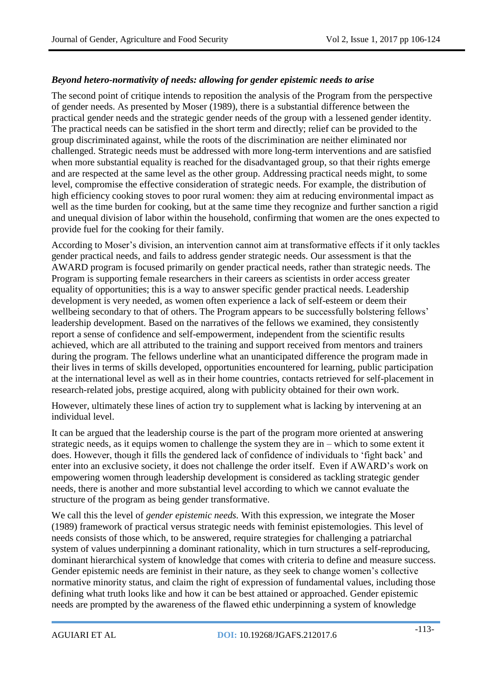#### *Beyond hetero-normativity of needs: allowing for gender epistemic needs to arise*

The second point of critique intends to reposition the analysis of the Program from the perspective of gender needs. As presented by Moser (1989), there is a substantial difference between the practical gender needs and the strategic gender needs of the group with a lessened gender identity. The practical needs can be satisfied in the short term and directly; relief can be provided to the group discriminated against, while the roots of the discrimination are neither eliminated nor challenged. Strategic needs must be addressed with more long-term interventions and are satisfied when more substantial equality is reached for the disadvantaged group, so that their rights emerge and are respected at the same level as the other group. Addressing practical needs might, to some level, compromise the effective consideration of strategic needs. For example, the distribution of high efficiency cooking stoves to poor rural women: they aim at reducing environmental impact as well as the time burden for cooking, but at the same time they recognize and further sanction a rigid and unequal division of labor within the household, confirming that women are the ones expected to provide fuel for the cooking for their family.

According to Moser's division, an intervention cannot aim at transformative effects if it only tackles gender practical needs, and fails to address gender strategic needs. Our assessment is that the AWARD program is focused primarily on gender practical needs, rather than strategic needs. The Program is supporting female researchers in their careers as scientists in order access greater equality of opportunities; this is a way to answer specific gender practical needs. Leadership development is very needed, as women often experience a lack of self-esteem or deem their wellbeing secondary to that of others. The Program appears to be successfully bolstering fellows' leadership development. Based on the narratives of the fellows we examined, they consistently report a sense of confidence and self-empowerment, independent from the scientific results achieved, which are all attributed to the training and support received from mentors and trainers during the program. The fellows underline what an unanticipated difference the program made in their lives in terms of skills developed, opportunities encountered for learning, public participation at the international level as well as in their home countries, contacts retrieved for self-placement in research-related jobs, prestige acquired, along with publicity obtained for their own work.

However, ultimately these lines of action try to supplement what is lacking by intervening at an individual level.

It can be argued that the leadership course is the part of the program more oriented at answering strategic needs, as it equips women to challenge the system they are in – which to some extent it does. However, though it fills the gendered lack of confidence of individuals to 'fight back' and enter into an exclusive society, it does not challenge the order itself. Even if AWARD's work on empowering women through leadership development is considered as tackling strategic gender needs, there is another and more substantial level according to which we cannot evaluate the structure of the program as being gender transformative.

We call this the level of *gender epistemic needs.* With this expression, we integrate the Moser (1989) framework of practical versus strategic needs with feminist epistemologies. This level of needs consists of those which, to be answered, require strategies for challenging a patriarchal system of values underpinning a dominant rationality, which in turn structures a self-reproducing, dominant hierarchical system of knowledge that comes with criteria to define and measure success. Gender epistemic needs are feminist in their nature, as they seek to change women's collective normative minority status, and claim the right of expression of fundamental values, including those defining what truth looks like and how it can be best attained or approached. Gender epistemic needs are prompted by the awareness of the flawed ethic underpinning a system of knowledge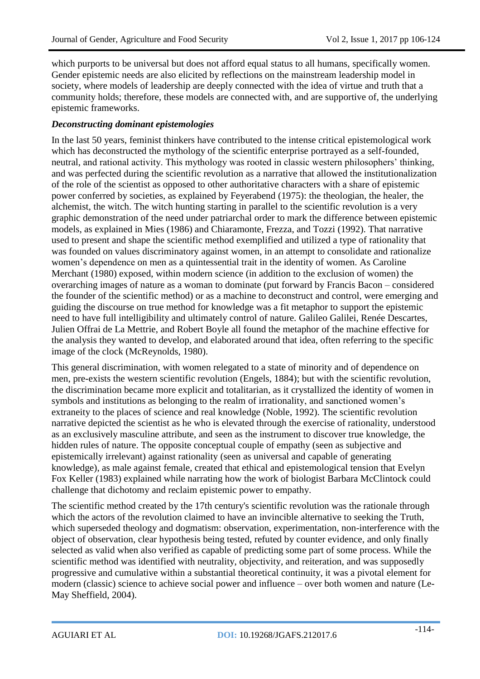which purports to be universal but does not afford equal status to all humans, specifically women. Gender epistemic needs are also elicited by reflections on the mainstream leadership model in society, where models of leadership are deeply connected with the idea of virtue and truth that a community holds; therefore, these models are connected with, and are supportive of, the underlying epistemic frameworks.

#### *Deconstructing dominant epistemologies*

In the last 50 years, feminist thinkers have contributed to the intense critical epistemological work which has deconstructed the mythology of the scientific enterprise portrayed as a self-founded, neutral, and rational activity. This mythology was rooted in classic western philosophers' thinking, and was perfected during the scientific revolution as a narrative that allowed the institutionalization of the role of the scientist as opposed to other authoritative characters with a share of epistemic power conferred by societies, as explained by Feyerabend (1975): the theologian, the healer, the alchemist, the witch. The witch hunting starting in parallel to the scientific revolution is a very graphic demonstration of the need under patriarchal order to mark the difference between epistemic models, as explained in Mies (1986) and Chiaramonte, Frezza, and Tozzi (1992). That narrative used to present and shape the scientific method exemplified and utilized a type of rationality that was founded on values discriminatory against women, in an attempt to consolidate and rationalize women's dependence on men as a quintessential trait in the identity of women. As Caroline Merchant (1980) exposed, within modern science (in addition to the exclusion of women) the overarching images of nature as a woman to dominate (put forward by Francis Bacon – considered the founder of the scientific method) or as a machine to deconstruct and control, were emerging and guiding the discourse on true method for knowledge was a fit metaphor to support the epistemic need to have full intelligibility and ultimately control of nature. Galileo Galilei, Renée Descartes, Julien Offrai de La Mettrie, and Robert Boyle all found the metaphor of the machine effective for the analysis they wanted to develop, and elaborated around that idea, often referring to the specific image of the clock (McReynolds, 1980).

This general discrimination, with women relegated to a state of minority and of dependence on men, pre-exists the western scientific revolution (Engels, 1884); but with the scientific revolution, the discrimination became more explicit and totalitarian, as it crystallized the identity of women in symbols and institutions as belonging to the realm of irrationality, and sanctioned women's extraneity to the places of science and real knowledge (Noble, 1992). The scientific revolution narrative depicted the scientist as he who is elevated through the exercise of rationality, understood as an exclusively masculine attribute, and seen as the instrument to discover true knowledge, the hidden rules of nature. The opposite conceptual couple of empathy (seen as subjective and epistemically irrelevant) against rationality (seen as universal and capable of generating knowledge), as male against female, created that ethical and epistemological tension that Evelyn Fox Keller (1983) explained while narrating how the work of biologist Barbara McClintock could challenge that dichotomy and reclaim epistemic power to empathy.

The scientific method created by the 17th century's scientific revolution was the rationale through which the actors of the revolution claimed to have an invincible alternative to seeking the Truth, which superseded theology and dogmatism: observation, experimentation, non-interference with the object of observation, clear hypothesis being tested, refuted by counter evidence, and only finally selected as valid when also verified as capable of predicting some part of some process. While the scientific method was identified with neutrality, objectivity, and reiteration, and was supposedly progressive and cumulative within a substantial theoretical continuity, it was a pivotal element for modern (classic) science to achieve social power and influence – over both women and nature (Le-May Sheffield, 2004).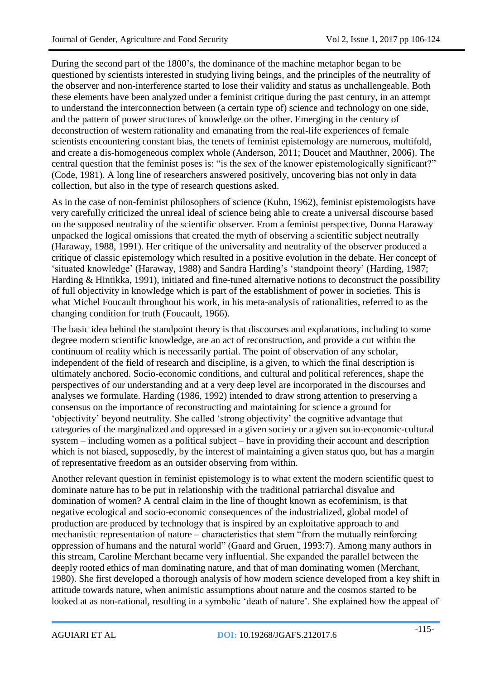During the second part of the 1800's, the dominance of the machine metaphor began to be questioned by scientists interested in studying living beings, and the principles of the neutrality of the observer and non-interference started to lose their validity and status as unchallengeable. Both these elements have been analyzed under a feminist critique during the past century, in an attempt to understand the interconnection between (a certain type of) science and technology on one side, and the pattern of power structures of knowledge on the other. Emerging in the century of deconstruction of western rationality and emanating from the real-life experiences of female scientists encountering constant bias, the tenets of feminist epistemology are numerous, multifold, and create a dis-homogeneous complex whole (Anderson, 2011; Doucet and Mauthner, 2006). The central question that the feminist poses is: "is the sex of the knower epistemologically significant?" (Code, 1981). A long line of researchers answered positively, uncovering bias not only in data collection, but also in the type of research questions asked.

As in the case of non-feminist philosophers of science (Kuhn, 1962), feminist epistemologists have very carefully criticized the unreal ideal of science being able to create a universal discourse based on the supposed neutrality of the scientific observer. From a feminist perspective, Donna Haraway unpacked the logical omissions that created the myth of observing a scientific subject neutrally (Haraway, 1988, 1991). Her critique of the universality and neutrality of the observer produced a critique of classic epistemology which resulted in a positive evolution in the debate. Her concept of 'situated knowledge' (Haraway, 1988) and Sandra Harding's 'standpoint theory' (Harding, 1987; Harding & Hintikka, 1991), initiated and fine-tuned alternative notions to deconstruct the possibility of full objectivity in knowledge which is part of the establishment of power in societies. This is what Michel Foucault throughout his work, in his meta-analysis of rationalities, referred to as the changing condition for truth (Foucault, 1966).

The basic idea behind the standpoint theory is that discourses and explanations, including to some degree modern scientific knowledge, are an act of reconstruction, and provide a cut within the continuum of reality which is necessarily partial. The point of observation of any scholar, independent of the field of research and discipline, is a given, to which the final description is ultimately anchored. Socio-economic conditions, and cultural and political references, shape the perspectives of our understanding and at a very deep level are incorporated in the discourses and analyses we formulate. Harding (1986, 1992) intended to draw strong attention to preserving a consensus on the importance of reconstructing and maintaining for science a ground for 'objectivity' beyond neutrality. She called 'strong objectivity' the cognitive advantage that categories of the marginalized and oppressed in a given society or a given socio-economic-cultural system – including women as a political subject – have in providing their account and description which is not biased, supposedly, by the interest of maintaining a given status quo, but has a margin of representative freedom as an outsider observing from within.

Another relevant question in feminist epistemology is to what extent the modern scientific quest to dominate nature has to be put in relationship with the traditional patriarchal disvalue and domination of women? A central claim in the line of thought known as ecofeminism, is that negative ecological and socio-economic consequences of the industrialized, global model of production are produced by technology that is inspired by an exploitative approach to and mechanistic representation of nature – characteristics that stem "from the mutually reinforcing oppression of humans and the natural world" (Gaard and Gruen, 1993:7). Among many authors in this stream, Caroline Merchant became very influential. She expanded the parallel between the deeply rooted ethics of man dominating nature, and that of man dominating women (Merchant, 1980). She first developed a thorough analysis of how modern science developed from a key shift in attitude towards nature, when animistic assumptions about nature and the cosmos started to be looked at as non-rational, resulting in a symbolic 'death of nature'. She explained how the appeal of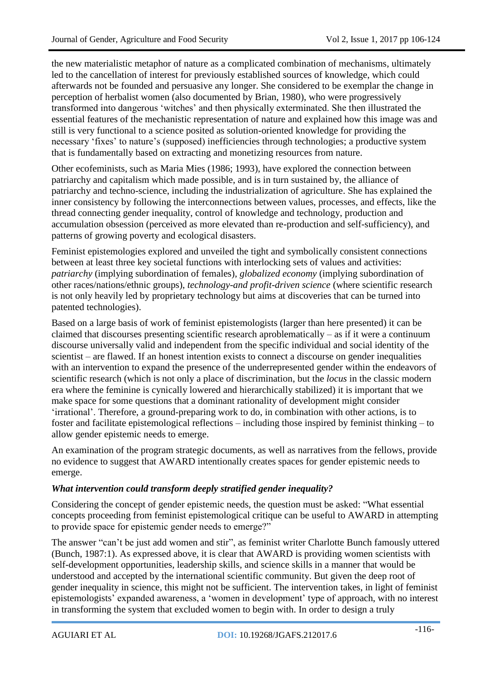the new materialistic metaphor of nature as a complicated combination of mechanisms, ultimately led to the cancellation of interest for previously established sources of knowledge, which could afterwards not be founded and persuasive any longer. She considered to be exemplar the change in perception of herbalist women (also documented by Brian, 1980), who were progressively transformed into dangerous 'witches' and then physically exterminated. She then illustrated the essential features of the mechanistic representation of nature and explained how this image was and still is very functional to a science posited as solution-oriented knowledge for providing the necessary 'fixes' to nature's (supposed) inefficiencies through technologies; a productive system that is fundamentally based on extracting and monetizing resources from nature.

Other ecofeminists, such as Maria Mies (1986; 1993), have explored the connection between patriarchy and capitalism which made possible, and is in turn sustained by, the alliance of patriarchy and techno-science, including the industrialization of agriculture. She has explained the inner consistency by following the interconnections between values, processes, and effects, like the thread connecting gender inequality, control of knowledge and technology, production and accumulation obsession (perceived as more elevated than re-production and self-sufficiency), and patterns of growing poverty and ecological disasters.

Feminist epistemologies explored and unveiled the tight and symbolically consistent connections between at least three key societal functions with interlocking sets of values and activities: *patriarchy* (implying subordination of females), *globalized economy* (implying subordination of other races/nations/ethnic groups), *technology-and profit-driven science* (where scientific research is not only heavily led by proprietary technology but aims at discoveries that can be turned into patented technologies).

Based on a large basis of work of feminist epistemologists (larger than here presented) it can be claimed that discourses presenting scientific research aproblematically  $-$  as if it were a continuum discourse universally valid and independent from the specific individual and social identity of the scientist – are flawed. If an honest intention exists to connect a discourse on gender inequalities with an intervention to expand the presence of the underrepresented gender within the endeavors of scientific research (which is not only a place of discrimination, but the *locus* in the classic modern era where the feminine is cynically lowered and hierarchically stabilized) it is important that we make space for some questions that a dominant rationality of development might consider 'irrational'. Therefore, a ground-preparing work to do, in combination with other actions, is to foster and facilitate epistemological reflections – including those inspired by feminist thinking – to allow gender epistemic needs to emerge.

An examination of the program strategic documents, as well as narratives from the fellows, provide no evidence to suggest that AWARD intentionally creates spaces for gender epistemic needs to emerge.

### *What intervention could transform deeply stratified gender inequality?*

Considering the concept of gender epistemic needs, the question must be asked: "What essential concepts proceeding from feminist epistemological critique can be useful to AWARD in attempting to provide space for epistemic gender needs to emerge?"

The answer "can't be just add women and stir", as feminist writer Charlotte Bunch famously uttered (Bunch, 1987:1). As expressed above, it is clear that AWARD is providing women scientists with self-development opportunities, leadership skills, and science skills in a manner that would be understood and accepted by the international scientific community. But given the deep root of gender inequality in science, this might not be sufficient. The intervention takes, in light of feminist epistemologists' expanded awareness, a 'women in development' type of approach, with no interest in transforming the system that excluded women to begin with. In order to design a truly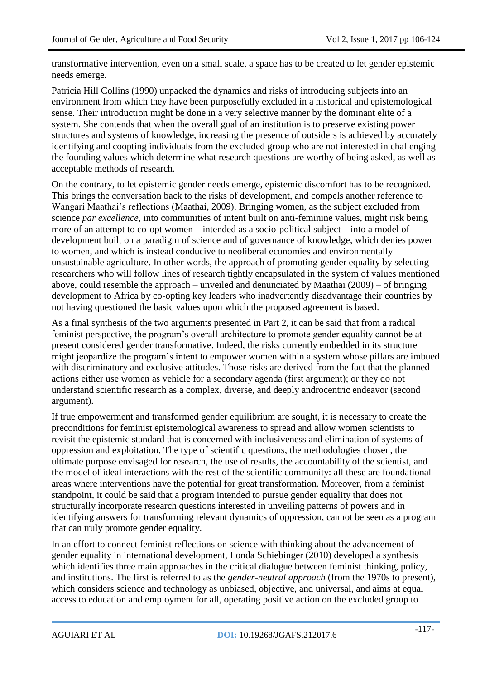transformative intervention, even on a small scale, a space has to be created to let gender epistemic needs emerge.

Patricia Hill Collins (1990) unpacked the dynamics and risks of introducing subjects into an environment from which they have been purposefully excluded in a historical and epistemological sense. Their introduction might be done in a very selective manner by the dominant elite of a system. She contends that when the overall goal of an institution is to preserve existing power structures and systems of knowledge, increasing the presence of outsiders is achieved by accurately identifying and coopting individuals from the excluded group who are not interested in challenging the founding values which determine what research questions are worthy of being asked, as well as acceptable methods of research.

On the contrary, to let epistemic gender needs emerge, epistemic discomfort has to be recognized. This brings the conversation back to the risks of development, and compels another reference to Wangari Maathai's reflections (Maathai, 2009). Bringing women, as the subject excluded from science *par excellence*, into communities of intent built on anti-feminine values, might risk being more of an attempt to co-opt women – intended as a socio-political subject – into a model of development built on a paradigm of science and of governance of knowledge, which denies power to women, and which is instead conducive to neoliberal economies and environmentally unsustainable agriculture. In other words, the approach of promoting gender equality by selecting researchers who will follow lines of research tightly encapsulated in the system of values mentioned above, could resemble the approach – unveiled and denunciated by Maathai (2009) – of bringing development to Africa by co-opting key leaders who inadvertently disadvantage their countries by not having questioned the basic values upon which the proposed agreement is based.

As a final synthesis of the two arguments presented in Part 2, it can be said that from a radical feminist perspective, the program's overall architecture to promote gender equality cannot be at present considered gender transformative. Indeed, the risks currently embedded in its structure might jeopardize the program's intent to empower women within a system whose pillars are imbued with discriminatory and exclusive attitudes. Those risks are derived from the fact that the planned actions either use women as vehicle for a secondary agenda (first argument); or they do not understand scientific research as a complex, diverse, and deeply androcentric endeavor (second argument).

If true empowerment and transformed gender equilibrium are sought, it is necessary to create the preconditions for feminist epistemological awareness to spread and allow women scientists to revisit the epistemic standard that is concerned with inclusiveness and elimination of systems of oppression and exploitation. The type of scientific questions, the methodologies chosen, the ultimate purpose envisaged for research, the use of results, the accountability of the scientist, and the model of ideal interactions with the rest of the scientific community: all these are foundational areas where interventions have the potential for great transformation. Moreover, from a feminist standpoint, it could be said that a program intended to pursue gender equality that does not structurally incorporate research questions interested in unveiling patterns of powers and in identifying answers for transforming relevant dynamics of oppression, cannot be seen as a program that can truly promote gender equality.

In an effort to connect feminist reflections on science with thinking about the advancement of gender equality in international development, Londa Schiebinger (2010) developed a synthesis which identifies three main approaches in the critical dialogue between feminist thinking, policy, and institutions. The first is referred to as the *gender-neutral approach* (from the 1970s to present), which considers science and technology as unbiased, objective, and universal, and aims at equal access to education and employment for all, operating positive action on the excluded group to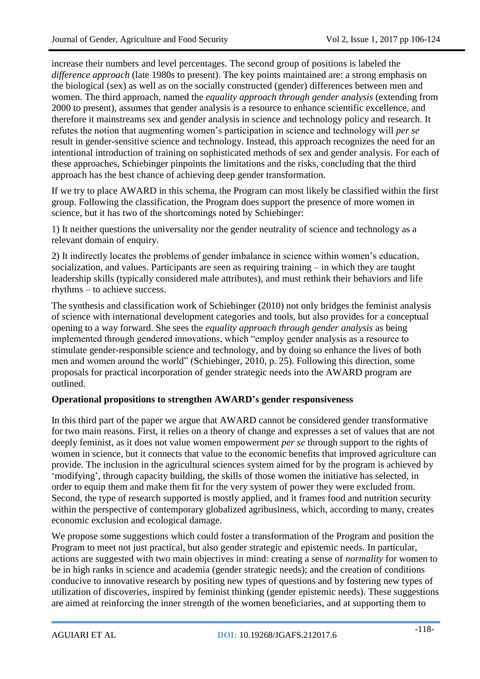increase their numbers and level percentages. The second group of positions is labeled the *difference approach* (late 1980s to present). The key points maintained are: a strong emphasis on the biological (sex) as well as on the socially constructed (gender) differences between men and women. The third approach, named the *equality approach through gender analysis* (extending from 2000 to present), assumes that gender analysis is a resource to enhance scientific excellence, and therefore it mainstreams sex and gender analysis in science and technology policy and research. It refutes the notion that augmenting women's participation in science and technology will *per se* result in gender-sensitive science and technology. Instead, this approach recognizes the need for an intentional introduction of training on sophisticated methods of sex and gender analysis. For each of these approaches, Schiebinger pinpoints the limitations and the risks, concluding that the third approach has the best chance of achieving deep gender transformation.

If we try to place AWARD in this schema, the Program can most likely be classified within the first group. Following the classification, the Program does support the presence of more women in science, but it has two of the shortcomings noted by Schiebinger:

1) It neither questions the universality nor the gender neutrality of science and technology as a relevant domain of enquiry.

2) It indirectly locates the problems of gender imbalance in science within women's education, socialization, and values. Participants are seen as requiring training – in which they are taught leadership skills (typically considered male attributes), and must rethink their behaviors and life rhythms – to achieve success.

The synthesis and classification work of Schiebinger (2010) not only bridges the feminist analysis of science with international development categories and tools, but also provides for a conceptual opening to a way forward. She sees the *equality approach through gender analysis* as being implemented through gendered innovations, which "employ gender analysis as a resource to stimulate gender-responsible science and technology, and by doing so enhance the lives of both men and women around the world" (Schiebinger, 2010, p. 25). Following this direction, some proposals for practical incorporation of gender strategic needs into the AWARD program are outlined.

#### **Operational propositions to strengthen AWARD's gender responsiveness**

In this third part of the paper we argue that AWARD cannot be considered gender transformative for two main reasons. First, it relies on a theory of change and expresses a set of values that are not deeply feminist, as it does not value women empowerment *per se* through support to the rights of women in science, but it connects that value to the economic benefits that improved agriculture can provide. The inclusion in the agricultural sciences system aimed for by the program is achieved by 'modifying', through capacity building, the skills of those women the initiative has selected, in order to equip them and make them fit for the very system of power they were excluded from. Second, the type of research supported is mostly applied, and it frames food and nutrition security within the perspective of contemporary globalized agribusiness, which, according to many, creates economic exclusion and ecological damage.

We propose some suggestions which could foster a transformation of the Program and position the Program to meet not just practical, but also gender strategic and epistemic needs. In particular, actions are suggested with two main objectives in mind: creating a sense of *normality* for women to be in high ranks in science and academia (gender strategic needs); and the creation of conditions conducive to innovative research by positing new types of questions and by fostering new types of utilization of discoveries, inspired by feminist thinking (gender epistemic needs). These suggestions are aimed at reinforcing the inner strength of the women beneficiaries, and at supporting them to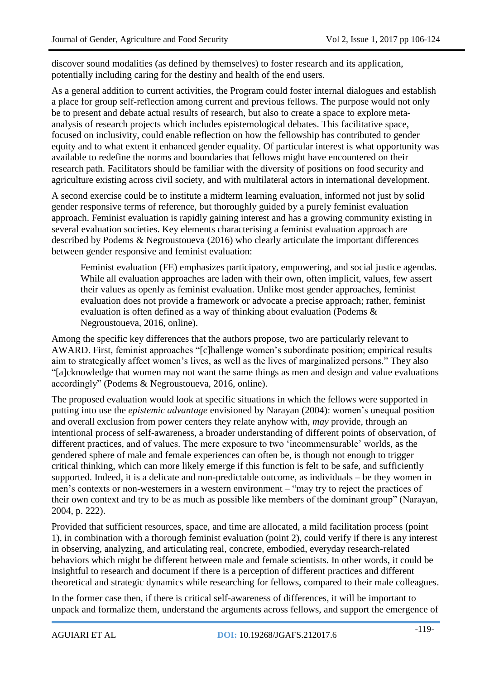discover sound modalities (as defined by themselves) to foster research and its application, potentially including caring for the destiny and health of the end users.

As a general addition to current activities, the Program could foster internal dialogues and establish a place for group self-reflection among current and previous fellows. The purpose would not only be to present and debate actual results of research, but also to create a space to explore metaanalysis of research projects which includes epistemological debates. This facilitative space, focused on inclusivity, could enable reflection on how the fellowship has contributed to gender equity and to what extent it enhanced gender equality. Of particular interest is what opportunity was available to redefine the norms and boundaries that fellows might have encountered on their research path. Facilitators should be familiar with the diversity of positions on food security and agriculture existing across civil society, and with multilateral actors in international development.

A second exercise could be to institute a midterm learning evaluation, informed not just by solid gender responsive terms of reference, but thoroughly guided by a purely feminist evaluation approach. Feminist evaluation is rapidly gaining interest and has a growing community existing in several evaluation societies. Key elements characterising a feminist evaluation approach are described by Podems & Negroustoueva (2016) who clearly articulate the important differences between gender responsive and feminist evaluation:

Feminist evaluation (FE) emphasizes participatory, empowering, and social justice agendas. While all evaluation approaches are laden with their own, often implicit, values, few assert their values as openly as feminist evaluation. Unlike most gender approaches, feminist evaluation does not provide a framework or advocate a precise approach; rather, feminist evaluation is often defined as a way of thinking about evaluation (Podems & Negroustoueva, 2016, online).

Among the specific key differences that the authors propose, two are particularly relevant to AWARD. First, feminist approaches "[c]hallenge women's subordinate position; empirical results aim to strategically affect women's lives, as well as the lives of marginalized persons." They also "[a]cknowledge that women may not want the same things as men and design and value evaluations accordingly" (Podems & Negroustoueva, 2016, online).

The proposed evaluation would look at specific situations in which the fellows were supported in putting into use the *epistemic advantage* envisioned by Narayan (2004): women's unequal position and overall exclusion from power centers they relate anyhow with, *may* provide, through an intentional process of self-awareness, a broader understanding of different points of observation, of different practices, and of values. The mere exposure to two 'incommensurable' worlds, as the gendered sphere of male and female experiences can often be, is though not enough to trigger critical thinking, which can more likely emerge if this function is felt to be safe, and sufficiently supported. Indeed, it is a delicate and non-predictable outcome, as individuals – be they women in men's contexts or non-westerners in a western environment – "may try to reject the practices of their own context and try to be as much as possible like members of the dominant group" (Narayan, 2004, p. 222).

Provided that sufficient resources, space, and time are allocated, a mild facilitation process (point 1), in combination with a thorough feminist evaluation (point 2), could verify if there is any interest in observing, analyzing, and articulating real, concrete, embodied, everyday research-related behaviors which might be different between male and female scientists. In other words, it could be insightful to research and document if there is a perception of different practices and different theoretical and strategic dynamics while researching for fellows, compared to their male colleagues.

In the former case then, if there is critical self-awareness of differences, it will be important to unpack and formalize them, understand the arguments across fellows, and support the emergence of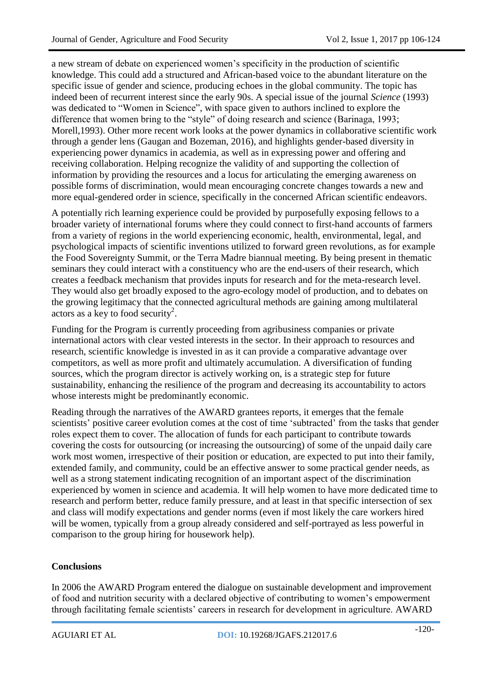a new stream of debate on experienced women's specificity in the production of scientific knowledge. This could add a structured and African-based voice to the abundant literature on the specific issue of gender and science, producing echoes in the global community. The topic has indeed been of recurrent interest since the early 90s. A special issue of the journal *Science* (1993) was dedicated to "Women in Science", with space given to authors inclined to explore the difference that women bring to the "style" of doing research and science (Barinaga, 1993; Morell,1993). Other more recent work looks at the power dynamics in collaborative scientific work through a gender lens (Gaugan and Bozeman, 2016), and highlights gender-based diversity in experiencing power dynamics in academia, as well as in expressing power and offering and receiving collaboration. Helping recognize the validity of and supporting the collection of information by providing the resources and a locus for articulating the emerging awareness on possible forms of discrimination, would mean encouraging concrete changes towards a new and more equal-gendered order in science, specifically in the concerned African scientific endeavors.

A potentially rich learning experience could be provided by purposefully exposing fellows to a broader variety of international forums where they could connect to first-hand accounts of farmers from a variety of regions in the world experiencing economic, health, environmental, legal, and psychological impacts of scientific inventions utilized to forward green revolutions, as for example the Food Sovereignty Summit, or the Terra Madre biannual meeting. By being present in thematic seminars they could interact with a constituency who are the end-users of their research, which creates a feedback mechanism that provides inputs for research and for the meta-research level. They would also get broadly exposed to the agro-ecology model of production, and to debates on the growing legitimacy that the connected agricultural methods are gaining among multilateral actors as a key to food security<sup>2</sup>.

Funding for the Program is currently proceeding from agribusiness companies or private international actors with clear vested interests in the sector. In their approach to resources and research, scientific knowledge is invested in as it can provide a comparative advantage over competitors, as well as more profit and ultimately accumulation. A diversification of funding sources, which the program director is actively working on, is a strategic step for future sustainability, enhancing the resilience of the program and decreasing its accountability to actors whose interests might be predominantly economic.

Reading through the narratives of the AWARD grantees reports, it emerges that the female scientists' positive career evolution comes at the cost of time 'subtracted' from the tasks that gender roles expect them to cover. The allocation of funds for each participant to contribute towards covering the costs for outsourcing (or increasing the outsourcing) of some of the unpaid daily care work most women, irrespective of their position or education, are expected to put into their family, extended family, and community, could be an effective answer to some practical gender needs, as well as a strong statement indicating recognition of an important aspect of the discrimination experienced by women in science and academia. It will help women to have more dedicated time to research and perform better, reduce family pressure, and at least in that specific intersection of sex and class will modify expectations and gender norms (even if most likely the care workers hired will be women, typically from a group already considered and self-portrayed as less powerful in comparison to the group hiring for housework help).

#### **Conclusions**

In 2006 the AWARD Program entered the dialogue on sustainable development and improvement of food and nutrition security with a declared objective of contributing to women's empowerment through facilitating female scientists' careers in research for development in agriculture. AWARD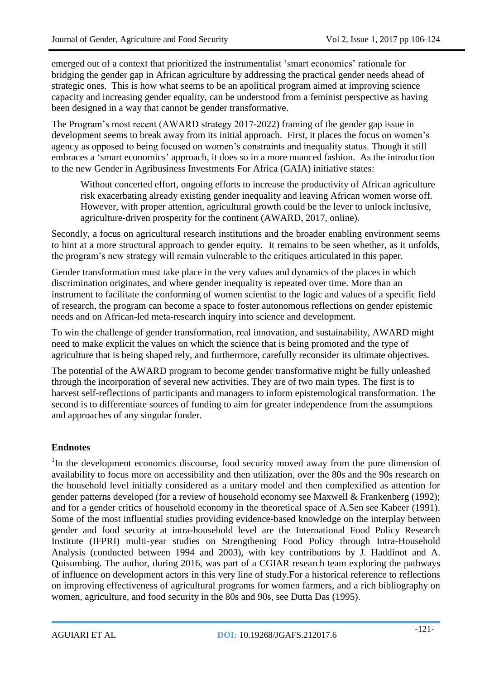emerged out of a context that prioritized the instrumentalist 'smart economics' rationale for bridging the gender gap in African agriculture by addressing the practical gender needs ahead of strategic ones. This is how what seems to be an apolitical program aimed at improving science capacity and increasing gender equality, can be understood from a feminist perspective as having been designed in a way that cannot be gender transformative.

The Program's most recent (AWARD strategy 2017-2022) framing of the gender gap issue in development seems to break away from its initial approach. First, it places the focus on women's agency as opposed to being focused on women's constraints and inequality status. Though it still embraces a 'smart economics' approach, it does so in a more nuanced fashion. As the introduction to the new Gender in Agribusiness Investments For Africa (GAIA) initiative states:

Without concerted effort, ongoing efforts to increase the productivity of African agriculture risk exacerbating already existing gender inequality and leaving African women worse off. However, with proper attention, agricultural growth could be the lever to unlock inclusive, agriculture-driven prosperity for the continent (AWARD, 2017, online).

Secondly, a focus on agricultural research institutions and the broader enabling environment seems to hint at a more structural approach to gender equity. It remains to be seen whether, as it unfolds, the program's new strategy will remain vulnerable to the critiques articulated in this paper.

Gender transformation must take place in the very values and dynamics of the places in which discrimination originates, and where gender inequality is repeated over time. More than an instrument to facilitate the conforming of women scientist to the logic and values of a specific field of research, the program can become a space to foster autonomous reflections on gender epistemic needs and on African-led meta-research inquiry into science and development.

To win the challenge of gender transformation, real innovation, and sustainability, AWARD might need to make explicit the values on which the science that is being promoted and the type of agriculture that is being shaped rely, and furthermore, carefully reconsider its ultimate objectives.

The potential of the AWARD program to become gender transformative might be fully unleashed through the incorporation of several new activities. They are of two main types. The first is to harvest self-reflections of participants and managers to inform epistemological transformation. The second is to differentiate sources of funding to aim for greater independence from the assumptions and approaches of any singular funder.

### **Endnotes**

<sup>1</sup>In the development economics discourse, food security moved away from the pure dimension of availability to focus more on accessibility and then utilization, over the 80s and the 90s research on the household level initially considered as a unitary model and then complexified as attention for gender patterns developed (for a review of household economy see Maxwell & Frankenberg (1992); and for a gender critics of household economy in the theoretical space of A.Sen see Kabeer (1991). Some of the most influential studies providing evidence-based knowledge on the interplay between gender and food security at intra-household level are the International Food Policy Research Institute (IFPRI) multi-year studies on Strengthening Food Policy through Intra-Household Analysis (conducted between 1994 and 2003), with key contributions by J. Haddinot and A. Quisumbing. The author, during 2016, was part of a CGIAR research team exploring the pathways of influence on development actors in this very line of study.For a historical reference to reflections on improving effectiveness of agricultural programs for women farmers, and a rich bibliography on women, agriculture, and food security in the 80s and 90s, see Dutta Das (1995).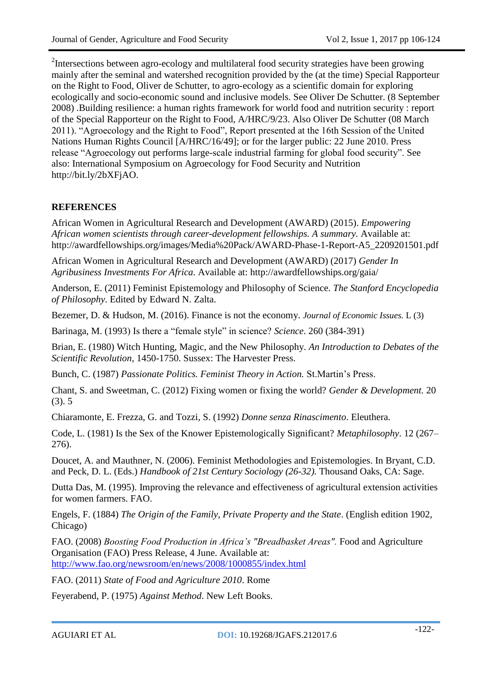<sup>2</sup>Intersections between agro-ecology and multilateral food security strategies have been growing mainly after the seminal and watershed recognition provided by the (at the time) Special Rapporteur on the Right to Food, Oliver de Schutter, to agro-ecology as a scientific domain for exploring ecologically and socio-economic sound and inclusive models. See Oliver De Schutter. (8 September 2008) .Building resilience: a human rights framework for world food and nutrition security : report of the Special Rapporteur on the Right to Food, A/HRC/9/23. Also Oliver De Schutter (08 March 2011). "Agroecology and the Right to Food", Report presented at the 16th Session of the United Nations Human Rights Council [A/HRC/16/49]; or for the larger public: 22 June 2010. Press release "Agroecology out performs large-scale industrial farming for global food security". See also: International Symposium on Agroecology for Food Security and Nutrition http://bit.ly/2bXFjAO.

# **REFERENCES**

African Women in Agricultural Research and Development (AWARD) (2015). *Empowering African women scientists through career-development fellowships. A summary.* Available at: http://awardfellowships.org/images/Media%20Pack/AWARD-Phase-1-Report-A5\_2209201501.pdf

African Women in Agricultural Research and Development (AWARD) (2017) *Gender In Agribusiness Investments For Africa.* Available at: http://awardfellowships.org/gaia/

Anderson, E. (2011) Feminist Epistemology and Philosophy of Science. *The Stanford Encyclopedia of Philosophy*. Edited by Edward N. Zalta.

Bezemer, D. & Hudson, M. (2016). Finance is not the economy. *Journal of Economic Issues.* L (3)

Barinaga, M. (1993) Is there a "female style" in science? *Science*. 260 (384-391)

Brian, E. (1980) Witch Hunting, Magic, and the New Philosophy. *An Introduction to Debates of the Scientific Revolution,* 1450-1750. Sussex: The Harvester Press.

Bunch, C. (1987) *Passionate Politics. Feminist Theory in Action.* St.Martin's Press.

Chant, S. and Sweetman, C. (2012) Fixing women or fixing the world? *Gender & Development.* 20 (3). 5

Chiaramonte, E. Frezza, G. and Tozzi, S. (1992) *Donne senza Rinascimento*. Eleuthera.

Code, L. (1981) Is the Sex of the Knower Epistemologically Significant? *Metaphilosophy*. 12 (267– 276).

Doucet, A. and Mauthner, N. (2006). Feminist Methodologies and Epistemologies. In Bryant, C.D. and Peck, D. L. (Eds.) *Handbook of 21st Century Sociology (26-32).* Thousand Oaks, CA: Sage.

Dutta Das, M. (1995). Improving the relevance and effectiveness of agricultural extension activities for women farmers. FAO.

Engels, F. (1884) *The Origin of the Family, Private Property and the State*. (English edition 1902, Chicago)

FAO. (2008) *Boosting Food Production in Africa's "Breadbasket Areas".* Food and Agriculture Organisation (FAO) Press Release, 4 June. Available at:

<http://www.fao.org/newsroom/en/news/2008/1000855/index.html>

FAO. (2011) *State of Food and Agriculture 2010*. Rome

Feyerabend, P. (1975) *Against Method*. New Left Books.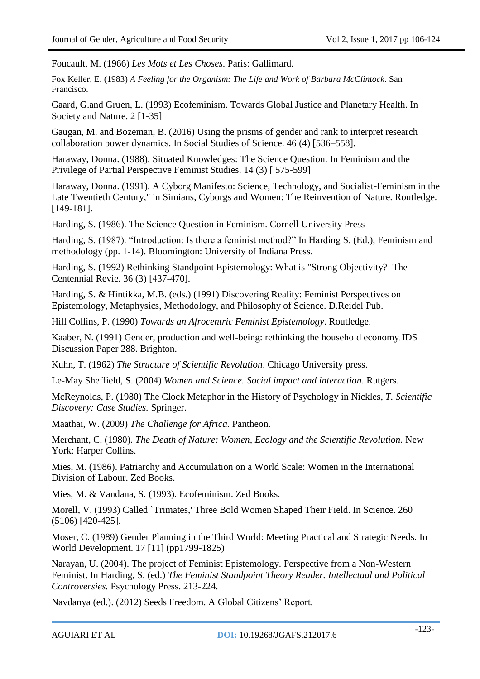Foucault, M. (1966) *Les Mots et Les Choses*. Paris: Gallimard.

Fox Keller, E. (1983) *A Feeling for the Organism: The Life and Work of Barbara McClintock*. San Francisco.

Gaard, G.and Gruen, L. (1993) Ecofeminism. Towards Global Justice and Planetary Health. In Society and Nature. 2 [1-35]

Gaugan, M. and Bozeman, B. (2016) Using the prisms of gender and rank to interpret research collaboration power dynamics. In Social Studies of Science. 46 (4) [536–558].

Haraway, Donna. (1988). Situated Knowledges: The Science Question. In Feminism and the Privilege of Partial Perspective Feminist Studies. 14 (3) [ 575-599]

Haraway, Donna. (1991). A Cyborg Manifesto: Science, Technology, and Socialist-Feminism in the Late Twentieth Century," in Simians, Cyborgs and Women: The Reinvention of Nature. Routledge. [149-181].

Harding, S. (1986). The Science Question in Feminism. Cornell University Press

Harding, S. (1987). "Introduction: Is there a feminist method?" In Harding S. (Ed.), Feminism and methodology (pp. 1-14). Bloomington: University of Indiana Press.

Harding, S. (1992) Rethinking Standpoint Epistemology: What is "Strong Objectivity? The Centennial Revie. 36 (3) [437-470].

Harding, S. & Hintikka, M.B. (eds.) (1991) Discovering Reality: Feminist Perspectives on Epistemology, Metaphysics, Methodology, and Philosophy of Science. D.Reidel Pub.

Hill Collins, P. (1990) *Towards an Afrocentric Feminist Epistemology*. Routledge.

Kaaber, N. (1991) Gender, production and well-being: rethinking the household economy. IDS Discussion Paper 288. Brighton.

Kuhn, T. (1962) *The Structure of Scientific Revolution*. Chicago University press.

[Le-May Sheffield,](https://www.google.it/search?tbo=p&tbm=bks&q=inauthor:%22Suzanne+Le-May+Sheffield%22) S. (2004) *Women and Science. Social impact and interaction*. Rutgers.

McReynolds, P. (1980) The Clock Metaphor in the History of Psychology in Nickles, *T. Scientific Discovery: Case Studies.* Springer.

Maathai, W. (2009) *The Challenge for Africa.* Pantheon.

Merchant, C. (1980). *The Death of Nature: Women, Ecology and the Scientific Revolution.* New York: Harper Collins.

Mies, M. (1986). Patriarchy and Accumulation on a World Scale: Women in the International Division of Labour. Zed Books.

Mies, M. & Vandana, S. (1993). Ecofeminism. Zed Books.

Morell, V. (1993) Called `Trimates,' Three Bold Women Shaped Their Field. In Science. 260 (5106) [420-425].

Moser, C. (1989) Gender Planning in the Third World: Meeting Practical and Strategic Needs. In World Development. 17 [11] (pp1799-1825)

Narayan, U. (2004). The project of Feminist Epistemology. Perspective from a Non-Western Feminist. In Harding, S. (ed.) *The Feminist Standpoint Theory Reader. Intellectual and Political Controversies.* Psychology Press. 213-224.

Navdanya (ed.). (2012) Seeds Freedom. A Global Citizens' Report.